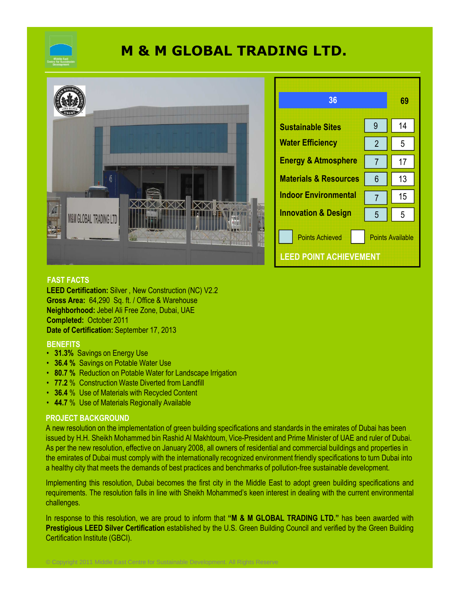

# **M & M GLOBAL TRADING LTD.**



## **FAST FACTS**

**LEED Certification:** Silver , New Construction (NC) V2.2 **Gross Area:** 64,290 Sq. ft. / Office & Warehouse **Neighborhood:** Jebel Ali Free Zone, Dubai, UAE **Completed:** October 2011 **Date of Certification:** September 17, 2013

### **BENEFITS**

- **31.3%** Savings on Energy Use
- **36.4 %** Savings on Potable Water Use
- **80.7 %** Reduction on Potable Water for Landscape Irrigation

© Copyright 2011 Middle East Centre for Sustainable Development. All Rights Reserve

- **77.2** % Construction Waste Diverted from Landfill
- **36.4** % Use of Materials with Recycled Content
- **44.7** % Use of Materials Regionally Available

# **PROJECT BACKGROUND**

A new resolution on the implementation of green building specifications and standards in the emirates of Dubai has been issued by H.H. Sheikh Mohammed bin Rashid Al Makhtoum, Vice-President and Prime Minister of UAE and ruler of Dubai. As per the new resolution, effective on January 2008, all owners of residential and commercial buildings and properties in the emirates of Dubai must comply with the internationally recognized environment friendly specifications to turn Dubai into a healthy city that meets the demands of best practices and benchmarks of pollution-free sustainable development.

Implementing this resolution, Dubai becomes the first city in the Middle East to adopt green building specifications and requirements. The resolution falls in line with Sheikh Mohammed's keen interest in dealing with the current environmental challenges.

In response to this resolution, we are proud to inform that **"M & M GLOBAL TRADING LTD."** has been awarded with **Prestigious LEED Silver Certification** established by the U.S. Green Building Council and verified by the Green Building Certification Institute (GBCI).